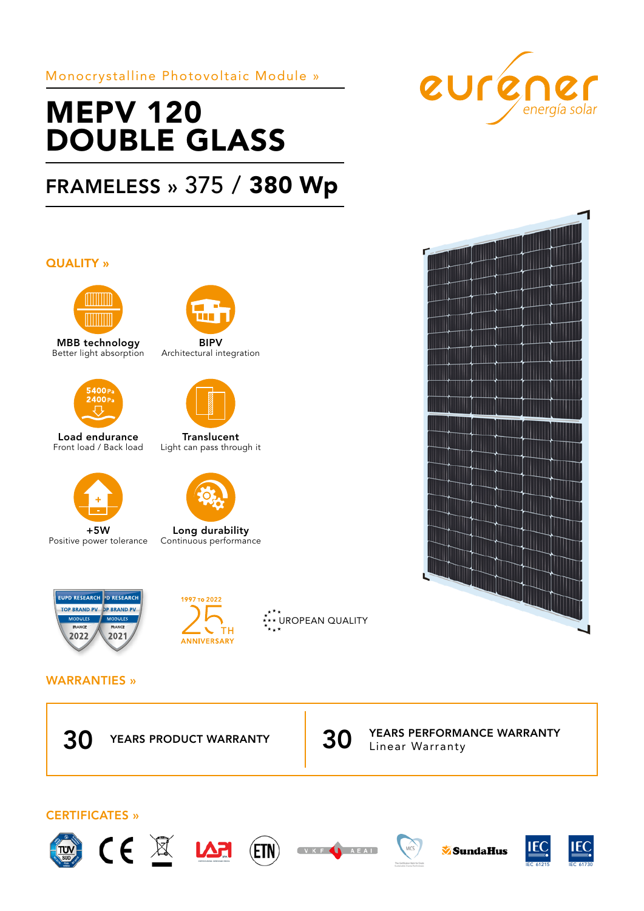Monocrystalline Photovoltaic Module »

# MEPV 120 DOUBLE GLASS

# FRAMELESS » 375 / 380 Wp

# QUALITY »



MBB technology Better light absorption



Load endurance Front load / Back load



+5W Positive power tolerance



BIPV Architectural integration



**Translucent** Light can pass through it



Long durability Continuous performance